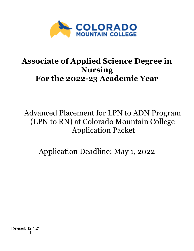

# **Associate of Applied Science Degree in Nursing For the 2022-23 Academic Year**

Advanced Placement for LPN to ADN Program (LPN to RN) at Colorado Mountain College Application Packet

Application Deadline: May 1, 2022

Revised: 12.1.21  $\sim$  1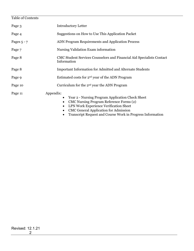## Table of Contents Page 3 Introductory Letter Page 4 Suggestions on How to Use This Application Packet Pages 5 - 7 ADN Program Requirements and Application Process Page 7 Nursing Validation Exam information Page 8 CMC Student Services Counselors and Financial Aid Specialists Contact Information Page 8 Important Information for Admitted and Alternate Students Page 9 Estimated costs for 2<sup>nd</sup> year of the ADN Program Page 10 Curriculum for the 2<sup>nd</sup> year the ADN Program Page 11 Appendix: • Year 2 - Nursing Program Application Check Sheet • CMC Nursing Program Reference Forms (2) • LPN Work Experience Verification Sheet

- CMC General Application for Admission
- Transcript Request and Course Work in Progress Information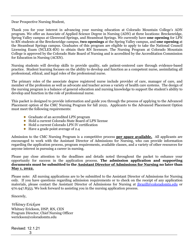Dear Prospective Nursing Student,

Thank you for your interest in advancing your nursing education at Colorado Mountain College's ADN program. We offer an Associate of Applied Science Degree in Nursing (ADN) at three locations: Breckenridge, Spring Valley campus at Glenwood Springs, and Steamboat Springs. We currently have **one opening** for LPN to RN students at the Breckenridge campus, **two openings** at the Spring Valley campus, and **one opening** at the Steamboat Springs campus. Graduates of this program are eligible to apply to take the National Council Licensing Exam (NCLEX-RN) to obtain their RN licensure. The Nursing Program at Colorado Mountain College is approved by the Colorado State Board of Nursing and is accredited by the Accreditation Commission for Education in Nursing (ACEN).

Nursing students will develop skills to provide quality, safe patient-centered care through evidence-based practice. Student learning focuses on the ability to develop and function as a competent nurse, assimilating all professional, ethical, and legal roles of the professional nurse.

The primary roles of the associate degree registered nurse include provider of care, manager of care, and member of the profession as well as advocate and teacher across a variety of health care systems. The design of the nursing program is a balance of general education and nursing knowledge to support the student's ability to develop and function in the role of professional nurse.

This packet is designed to provide information and guide you through the process of applying to the Advanced Placement option of the CMC Nursing Program for fall 2022**.** Applicants to the Advanced Placement Option must meet the following requirements:

- Graduate of an accredited LPN program
- ◆ Hold a current Colorado State Board of LPN license
- ◆ Hold a current Colorado LPN IV certification
- $\bullet$  Have a grade point average of 2.4

Admission to the CMC Nursing Program is a competitive process **per space available.** All applicants are encouraged to work with the Assistant Director of Admissions for Nursing, who can provide information regarding the application process, program requirements, available classes, and a variety of other resources for anyone interest in pursuing a career in nursing.

Please pay close attention to the deadlines and details noted throughout the packet to enhance your opportunity for success in the application process. **The admission application and supporting documents must be submitted to the Assistant Director of Admissions for Nursing no later than May 1, 2022.**

Please note: All nursing applications are to be submitted to the Assistant Director of Admissions for Nursing only. If you have questions regarding admission requirements or to check on the receipt of any application materials, please contact the Assistant Director of Admissions for Nursing at [jbrazill@coloradomtn.edu](mailto:jbrazill@coloradomtn.edu) or 970.947.8353. We look forward to assisting you in the nursing application process.

Sincerely,

*Whitney Erickson* Whitney Erickson, DNP, RN, CEN Program Director, Chief Nursing Officer werickson@coloradomtn.edu

Revised: 12.1.21  $\sim$  3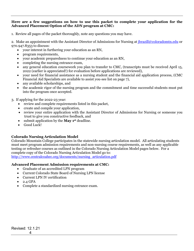#### **Here are a few suggestions on how to use this packet to complete your application for the Advanced Placement Option of the ADN program at CMC:**

1. Review all pages of the packet thoroughly, note any questions you may have.

2. Make an appointment with the Assistant Director of Admissions for Nursing at  $\frac{\partial \ln \alpha}{\partial x}$  also be obtained or 970.947.8353 to discuss:

- your interest in furthering your education as an RN,
- program requirements,
- your academic preparedness to continue your education as an RN,
- completing the nursing entrance exam,
- any general education coursework you plan to transfer to CMC, (transcripts must be received April 15, 2022 (earlier is appreciated!) for evaluation before applications are reviewed),
- your need for financial assistance as a nursing student and the financial aid application process, (CMC Financial Aid Specialists are available to assist you-see list on page 7),
- any available scholarships, and
- the academic rigor of the nursing program and the commitment and time successful students must put into the program once accepted.
- 3. If applying for the 2022-23 year:
	- review and complete requirements listed in this packet,
	- create and compile your application,
	- review your entire application with the Assistant Director of Admissions for Nursing or someone you trust to give you constructive feedback, and
	- submit application by the **May 1st** deadline.
	- Good Luck!

#### **Colorado Nursing Articulation Model**

Colorado Mountain College participates in the statewide nursing articulation model. All articulating students must meet program admission requirements and non-nursing course requirements, as well as any applicable testing or refresher courses as outlined in the Colorado Nursing Articulation Model pages below. For a complete copy of the Colorado Nursing Articulation Model go to: [http://www.centralcoahec.org/documents/nursing\\_articulation.pdf](http://www.centralcoahec.org/documents/nursing_articulation.pdf)

#### **Advanced Placement Admission requirements at CMC:**

- Graduate of an accredited LPN program
- Current Colorado State Board of Nursing LPN license
- Current LPN IV certification
- 2.4 GPA
- Complete a standardized nursing entrance exam.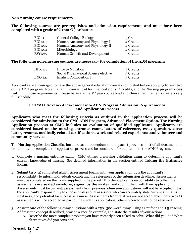#### **Non-nursing course requirements**

#### **The following courses are pre-requisites and admission requirements and must have been completed with a grade of C (not C-) or better:**

| <b>BIO 111</b> | <b>General College Biology</b>  | 5 Credits |
|----------------|---------------------------------|-----------|
| <b>BIO 201</b> | Human Anatomy and Physiology I  | 4 Credits |
| <b>BIO 202</b> | Human Anatomy and Physiology II | 4 Credits |
| <b>BIO 204</b> | Microbiology                    | 4 Credits |
| <b>PSY 235</b> | Human Growth and Development    | 3 Credits |

#### **The following non-nursing courses are necessary for completion of the ADN program:**

| <b>HPR</b> 118 | Intro to Nutrition                   | 2 Credits |
|----------------|--------------------------------------|-----------|
|                | Social & Behavioral Science elective | 3 Credits |
| <b>ENG 121</b> | English Composition I                | 3 Credits |

Applicants are encouraged to have the above general education courses completed before applying to year two of the ADN program. Note that a full course load for financial aid is 12 credits, and the Nursing program **does not** fulfill those requirements. Please be aware the 2<sup>nd</sup> year course load and clinical requirements create a very full schedule.

#### **Fall 2022 Advanced Placement into ADN Program Admission Requirements and Application Process**

**Applicants who meet the following criteria as outlined in the application process will be considered for admission to the CMC ADN Program, Advanced Placement Option. The Nursing Application process at CMC includes an evaluation of qualified applicants. Applicants are considered based on the nursing entrance exam, letters of reference, essay question, cover letter, resume, medically related certifications, work and related experience ,and volunteer and community service.**

The Nursing Application Checklist included as an addendum to this packet provides a list of all documents to be submitted to complete the application process and be considered for admission to the ADN Program.

- 1. Complete a nursing entrance exam. CMC utilizes a nursing validation exam to determine applicant's current knowledge of nursing. See detailed information in the section entitled **Taking the Entrance Exam**.
- 2. Submit **two** (2) completed Ability Assessment Forms with your application. It is the applicant's responsibility to inform individuals completing the references of the submission deadline. Assessments must be completed on the forms supplied in the packet. It is the applicant's responsibility to collect the assessments in a **sealed envelope, signed by the writer,** and submit them with their application. Assessments must be current; assessments from previous admission applications will not be accepted. It is the applicant's responsibility to choose professional assessors who can accurately state current strengths, weakness, and potential for success as a nurse. Assessments from relatives are not acceptable. Only two (2) assessments will be accepted as part of the student's application, others received will not be reviewed.
- 3. Answer **one** of the following essay questions with a 250–300-word essay, using 12 pt font and 1.5 spacing. Address the concept described, provide a specific example, and state the results of your actions.
	- A. Describe the most complex problem you have recently been asked to solve. What did you do? What alternatives did you consider?

Revised: 12.1.21

 $\sim$  5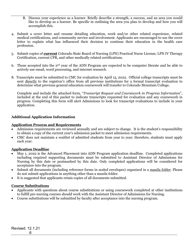- B. Discuss your experience as a learner. Briefly describe a strength, a success, and an area you would like to develop as a learner. Be specific in outlining the area you plan to develop and how you will accomplish this.
- 4. Submit a cover letter and resume detailing education, work and/or other related experience, related medical certifications, and community service and involvement. Applicants are encouraged to use the cover letter to explain what has influenced their decision to continue their education in the health care profession.
- 5. Submit copies of **current** Colorado State Board of Nursing (LPN) Practical Nurse License, LPN IV Therapy Certification, current CPR, and other medically related certifications.
- 6. Those accepted into the 2nd year of the ADN Program are expected to be computer literate and be able to actively use email, word processing, and internet research.
- 8. Transcripts must be submitted to CMC for evaluation by April 15, 2022. Official college transcripts must be sent directly to the registrar's office from all previous institutions for a formal transcript evaluation to determine what previous general education coursework will transfer to Colorado Mountain College.

Complete and include the attached form, "*Transcript Request and Coursework in Progress Information*", included at the end of this packet to indicate transcripts requested for evaluation and any coursework in progress. Completing this form will alert Admissions to look for transcript evaluations to include in your application.

#### **Additional Application Information**

#### **Application Process and Requirements**

- Admission requirements are reviewed annually and are subject to change. It is the student's responsibility to obtain a copy of the current year's admission packet to meet admission requirements.
- CMC does not maintain a waitlist of admitted students from year to year; therefore, students must apply each year.

#### **Application Deadline**

- May 1, 2022 is the Advanced Placement into ADN Program application deadline. Completed applications including required supporting documents must be submitted to Assistant Director of Admissions for Nursing by this date or postmarked by this date. Only completed applications will be considered for acceptance into the program.
- Submit all documents (including reference forms in sealed envelopes) organized in a manila folder. Please do not submit applications in anything other than a manila folder.
- It is suggested that applicants retain copies of all documents submitted.

#### **Course Substitutions**

- Applicants with questions about course substitutions or using coursework completed at other institutions to fulfill pre-nursing courses should work with the Assistant Director of Admissions for Nursing.
- Course substitutions will be submitted by faculty after acceptance into the nursing program.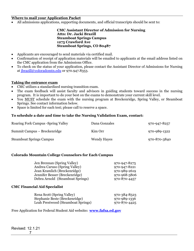#### **Where to mail your Application Packet**

• All admissions applications, supporting documents, and official transcripts should be sent to:

**CMC Assistant Director of Admission for Nursing Attn: Dr. Jacki Brazill Steamboat Springs Campus 1275 Crawford Ave Steamboat Springs, CO 80487**

- Applicants are encouraged to send materials via certified mail.
- Confirmation of receipt of application materials will be emailed to applicants at the email address listed on the CMC application from the Admissions Office.
- To check on the status of your application, please contact the Assistant Director of Admissions for Nursing at [jbrazill@coloradomtn.edu](mailto:jbrazill@coloradomtn.edu) or 970.947.8353.

#### **Taking the entrance exam**

- CMC utilizes a standardized nursing transition exam.
- The exam feedback will assist faculty and advisors in guiding students toward success in the nursing program. It is important to do your best on the exams to demonstrate your current skill level.
- You MUST schedule the exam with the nursing program at Breckenridge, Spring Valley, or Steamboat Springs. See contact information below.
- Space is limited for each test; please call to reserve a space.

#### **To schedule a date and time to take the Nursing Validation Exam, contact:**

| Roaring Fork Campus - Spring Valley | Dana Gonzales | 970-947-8257 |
|-------------------------------------|---------------|--------------|
| Summit Campus – Breckenridge        | Kim Orr       | 970-989-1322 |
| <b>Steamboat Springs Campus</b>     | Wendy Hayes   | 970-870-3840 |

#### **Colorado Mountain College Counselors for Each Campus**

| Jen Brennan (Spring Valley)      | 970-947-8275 |
|----------------------------------|--------------|
| Andrea Caruso (Spring Valley)    | 970-947-8221 |
| Jean Kramlich (Breckenridge)     | 970-989-2619 |
| Jennifer Besser (Breckenridge)   | 970-968-5806 |
| Debra Arnold (Steamboat Springs) | 970-870-4457 |
|                                  |              |

#### **CMC Financial Aid Specialist**

| Rena Scott (Spring Valley)         | 970-384-8523 |
|------------------------------------|--------------|
| Stephanie Beste (Breckenridge)     | 970-989-1336 |
| Leah Prestwood (Steamboat Springs) | 970-870-4425 |

Free Application for Federal Student Aid website**: [www.fafsa.ed.gov](http://www.fafsa.ed.gov/)**

Revised: 12.1.21 7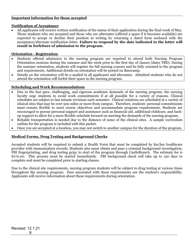#### **Important Information for those accepted**

#### **Notification of Acceptance**

• All applicants will receive written notification of the status of their application during the final week of May. Those students who are accepted and those who are alternates (offered a space if it becomes available) are expected to accept or decline their position in writing by returning a dated form enclosed with the acceptance/alternate notification letter. **Failure to respond by the date indicated in the letter will result in forfeiture of admission to the program.**

#### **Orientation - Registration**

- Students offered admission to the nursing program are required to attend both Nursing Program Orientation sessions during the summer and the week prior to the first day of classes (dates TBD). During the summer orientation, students will register for fall nursing courses and be fully oriented to the program and requirements. Additional details on orientation will be posted on Basecamp.
- Details on the orientation will be e-mailed to all applicants and alternates. Admitted students who do not attend the orientation will forfeit their space in the nursing program.

#### **Scheduling and Work Recommendations**

- Due to the fast pace, challenging, and rigorous academic demands of the nursing program, the nursing faculty urge students to avoid work commitments if at all possible for a variety of reasons. Clinical schedules are subject to last minute revisions each semester. Clinical rotations are scheduled at a variety of clinical sites that may be over 500 miles or more from campus. Therefore, students' personal commitments must remain flexible to meet course objectives and accommodate program requirements. Students are encouraged to pursue personal support and assistance such as financial aid, additional childcare, and backup support to allow for a more flexible schedule focused on meeting the demands of the nursing program.
- Reliable transportation is needed due to the distance of some of the clinical sites. A sample curriculum outline for the program is included with this packet.
- Once you are accepted at a location, you may not switch to another campus for the duration of the program.

#### **Medical Forms, Drug Testing and Background Checks**

Accepted students will be required to submit a Health Form that must be completed by his/her healthcare provider with immunization records. Students also must obtain and pass a criminal background investigation, FBI fingerprinting, and drug testing *prior* to start of the program through CastleBranch. The estimate fee is \$170.00. This process must be started immediately. FBI background check will take up to 150 days to complete and must be completed prior to starting classes.

Due to the clinical site requirements, nursing program students will be subject to drug testing at various times throughout the nursing program. Fees associated with these requirements are the student's responsibility. Applicants will receive information about these requirements during orientation.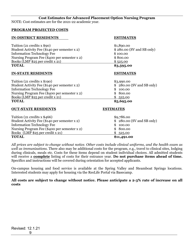#### **Cost Estimates for Advanced Placement Option Nursing Program**

NOTE: Cost estimates are for the 2021-22 academic year.

#### **PROGRAM PROJECTED COSTS**

#### **IN-DISTRICT RESIDENTS ESTIMATES**

| <b>TOTAL</b>                                  | \$3,595.00                |
|-----------------------------------------------|---------------------------|
| Books (LMP $$25$ per credit x 21)             | \$525.00                  |
| Nursing Program Fee (\$400 per semester x 2)  | \$800.00                  |
| <b>Information Technology Fee</b>             | \$100.00                  |
| Student Activity Fee (\$140 per semester x 2) | \$280.00 (SV and SB only) |
| Tuition $(21 \text{ credits } x \text{ $90)}$ | \$1,890.00                |

#### **IN-STATE RESIDENTS ESTIMATES**

| <b>TOTAL</b>                                   | \$5,695.00                 |
|------------------------------------------------|----------------------------|
| Books (LMP $$25$ per credit x 21)              | \$525.00                   |
| Nursing Program Fee (\$400 per semester x 2)   | \$800.00                   |
| <b>Information Technology Fee</b>              | \$100.00                   |
| Student Activity Fee (\$140 per semester x 2)  | $$280.00$ (SV and SB only) |
| Tuition $(21 \text{ credits } x \text{ $190)}$ | \$3,990.00                 |

#### **OUT-STATE RESIDENTS ESTIMATES**

| <b>TOTAL</b>                                  | \$11,491.00                |
|-----------------------------------------------|----------------------------|
| Books $(LMP $25 per credit x 21)$             | \$525.00                   |
| Nursing Program Fee (\$400 per semester x 2)  | \$800.00                   |
| <b>Information Technology Fee</b>             | \$100.00                   |
| Student Activity Fee (\$140 per semester x 2) | $$280.00$ (SV and SB only) |
| Tuition (21 credits $x$ \$466)                | \$9,786.00                 |

*All prices are subject to change without notice. Other costs include clinical uniforms, and the health exam as well as immunizations.* There also may be additional costs for the program, e.g., travel to clinical sites, lodging during clinicals, meals etc. Costs for these items depend on student individual choices. All admitted students will receive a **complete** listing of costs for their entrance year. **Do not purchase items ahead of time.**  Specifics and instructions will be covered during orientation for accepted applicants.

On-campus housing and food service is available at the Spring Valley and Steamboat Springs locations. Interested students may apply for housing via the ResLife Portal via Basecamp.

**All costs are subject to change without notice. Please anticipate a 2-3% rate of increase on all costs**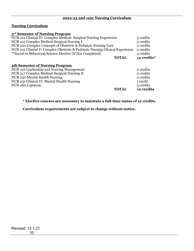#### **Nursing Curriculum**

#### **3rd Semester of Nursing Program**

| NUR 212 Clinical IV: Complex Medical- Surgical Nursing Experience             |             |  |
|-------------------------------------------------------------------------------|-------------|--|
| NUR 215 Complex Medical-Surgical Nursing I                                    |             |  |
| NUR 220 Complex Concepts of Obstetric & Pediatric Nursing Care                | 2 credits   |  |
| NUR 221 Clinical V: Complex Obstetric & Pediatric Nursing Clinical Experience | 2 credits   |  |
| **Social or Behavioral Science Elective (If Not Completed)                    | 3 credits   |  |
| <b>TOTAL</b>                                                                  | 14 credits* |  |
| <b>4th Semester of Nursing Program</b>                                        |             |  |
| NUR 216 Leadership and Nursing Management                                     | 2 credits   |  |
| NUR 217 Complex Medical-Surgical Nursing II                                   | 2 credits   |  |

NUR 217 Complex Medical-Surgical Nursing II 2 credits NUR 230 Mental Health Nursing 2 credits 2 credits NUR 231 Clinical VI: Mental Health Nursing 1 credit 1 credit 1 credit 1 credit 1 credit 1 credit 1 credit 1 credit 1 credit 1 credit 1 credit 1 credit 1 credit 1 credit 1 credit 1 credit 1 credit 1 credit 1 credit 1 credit NUR 260 Capstone 3 credits and 3 credits and 3 credits and 3 credits and 3 credits and 3 credits and 3 credits and 3 credits and 3 credits and 3 credits and 3 credits and 3 credits and 3 credits and 3 credits and 3 credits 10 credits

#### **\* Elective courses are necessary to maintain a full-time status of 12 credits.**

**Curriculum requirements are subject to change without notice.**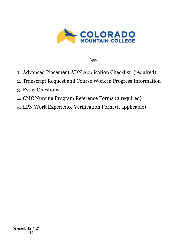

### Appendix

- 1. Advanced Placement ADN Application Checklist (required)
- 2. Transcript Request and Course Work in Progress Information
- 3. Essay Questions
- 4. CMC Nursing Program Reference Forms (2 required)
- 5. LPN Work Experience Verification Form (if applicable)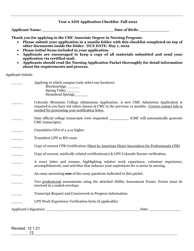#### **Year 2 ADN Application Checklist -Fall 2022**

**Applicant Name: \_\_\_\_\_\_\_\_\_\_\_\_\_\_\_\_\_\_\_\_\_\_\_\_\_\_\_\_\_ Date of Birth: \_\_\_\_\_\_\_\_\_\_\_\_**

**Thank you for applying to the CMC Associate Degree in Nursing Program.** 

- **Please submit your application in a manila folder with this checklist completed on top of other documents inside the folder. DUE DATE: May 1, 2022**
- **Please initial items included in your application.**
- **Applicants are encouraged to keep a copy of all materials submitted and send your application via certified mail.**
- **Applicants should read the Nursing Application Packet thoroughly for detail information about the requirements and process.**

Applicant Initials

| Applying to which campus (only select one location): |
|------------------------------------------------------|
| <b>Breckenridge</b>                                  |
| Spring Valley_                                       |
| <b>Steamboat Springs</b>                             |

- \_\_\_\_\_ Colorado Mountain College Admissions Application. A new CMC Admission Application is required is you have not taken classes at CMC in the previous 12 months. Correct contact info is needed for processing your notification letter.
- Date official college transcripts were requested \_\_\_\_\_\_\_\_\_\_\_\_ (CMC will automatically generate CMC transcripts).
- \_\_\_\_\_ Cumulative GPA of 2.4 or higher
- \_\_\_\_\_ Transition LPN to RN exam
- \_\_\_\_\_ Copy of current CPR Certification (Must be American Heart Association for Professionals CPR)
- \_\_\_\_\_ Copy of current, medically related certification(s) & LPN Colorado license verification.
- A cover letter and resume, highlighting relative work experience, volunteer experience, accomplishments, and activities that enhance your aspirations for a career in nursing.
- An essay answering **one** of the essay questions indicated in this packet.
- \_\_\_\_\_ Two professional assessments using the attached Ability Assessment Forms. Forms must be received in a sealed envelope.
- \_\_\_\_\_ Transcript Request and Coursework in Progress Information
- LPN Work Experience Verification form (if applicable)

Applicant's Signature: \_\_\_\_\_\_\_\_\_\_\_\_\_\_\_\_\_\_\_\_\_\_\_\_\_\_\_\_\_\_\_\_\_\_\_\_\_\_\_\_\_\_Date: \_\_\_\_\_\_\_\_\_\_\_\_\_\_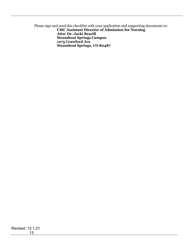Please sign and send this checklist with your application and supporting documents to:  **CMC Assistant Director of Admission for Nursing Attn: Dr. Jacki Brazill Steamboat Springs Campus 1275 Crawford Ave Steamboat Springs, CO 80487**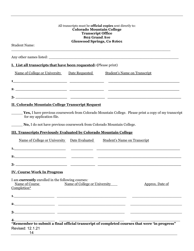|                                                                                                   | All transcripts must be <b>official copies</b> sent directly to:<br><b>Colorado Mountain College</b><br><b>Transcript Office</b><br><b>802 Grand Ave</b> |                                     |                                                                                                      |
|---------------------------------------------------------------------------------------------------|----------------------------------------------------------------------------------------------------------------------------------------------------------|-------------------------------------|------------------------------------------------------------------------------------------------------|
| <b>Glenwood Springs, Co 81601</b><br><b>Student Name:</b>                                         |                                                                                                                                                          |                                     |                                                                                                      |
|                                                                                                   |                                                                                                                                                          |                                     |                                                                                                      |
| <b>I. List all transcripts that have been requested:</b> (Please print)                           |                                                                                                                                                          |                                     |                                                                                                      |
| <u>Name of College or University Date Requested Student's Name on Transcript</u>                  |                                                                                                                                                          |                                     |                                                                                                      |
|                                                                                                   |                                                                                                                                                          |                                     |                                                                                                      |
| <b>II. Colorado Mountain College Transcript Request</b>                                           |                                                                                                                                                          |                                     |                                                                                                      |
| for my application file.<br>No, I do not have previous coursework from Colorado Mountain College. |                                                                                                                                                          |                                     | Yes, I have previous coursework from Colorado Mountain College. Please print a copy of my transcript |
| <b>III. Transcripts Previously Evaluated by Colorado Mountain College</b>                         |                                                                                                                                                          |                                     |                                                                                                      |
| Name of College or University Date Evaluated                                                      |                                                                                                                                                          | <b>Student's Name on Transcript</b> |                                                                                                      |
|                                                                                                   |                                                                                                                                                          |                                     |                                                                                                      |
|                                                                                                   |                                                                                                                                                          |                                     |                                                                                                      |
|                                                                                                   |                                                                                                                                                          |                                     |                                                                                                      |
| <b>IV. Course Work In Progress</b>                                                                |                                                                                                                                                          |                                     |                                                                                                      |
| I am currently enrolled in the following courses:<br>Name of Course<br>Completion*                | Name of College or University                                                                                                                            |                                     | Approx. Date of                                                                                      |
|                                                                                                   |                                                                                                                                                          |                                     |                                                                                                      |
|                                                                                                   |                                                                                                                                                          |                                     |                                                                                                      |
| $3$ .                                                                                             |                                                                                                                                                          |                                     |                                                                                                      |
| Revised: 12.1.21<br>14                                                                            |                                                                                                                                                          |                                     |                                                                                                      |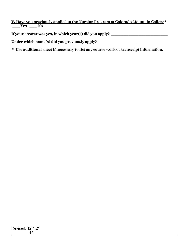**V. Have you previously applied to the Nursing Program at Colorado Mountain College? \_\_\_ Yes \_\_\_ No**

If your answer was yes, in which year(s) did you apply? \_\_\_\_\_\_\_\_\_\_\_\_\_\_\_\_\_\_\_\_\_\_\_\_\_\_

**Under which name(s) did you previously apply? \_\_\_\_\_\_\_\_\_\_\_\_\_\_\_\_\_\_\_\_\_\_\_\_\_\_\_\_\_\_**

**\*\* Use additional sheet if necessary to list any course work or transcript information.**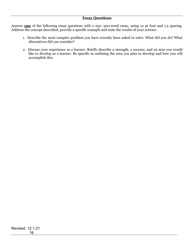#### **Essay Questions**

Answer **one** of the following essay questions with a 250–300-word essay, using 12 pt font and 1.5 spacing. Address the concept described, provide a specific example and state the results of your actions:

- 1. Describe the most complex problem you have recently been asked to solve. What did you do? What alternatives did you consider?
- 2. Discuss your experience as a learner. Briefly describe a strength, a success, and an area you would like to develop as a learner. Be specific in outlining the area you plan to develop and how you will accomplish this.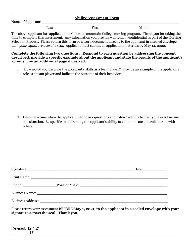#### **Ability Assessment Form**

Name of Applicant:

Last First First Middle

The above applicant has applied to the Colorado mountain College nursing program. Thank you for taking the time to complete this assessment. Any information you provide will remain confidential as part of the Nursing Selection Process. Please return this form or a word document directly to the applicant in a sealed envelope *with your signature over the seal.* Applicant must submit all application materials by May 14, 2022.

#### **Complete the following two questions. Respond to each question by addressing the concept described, provide a specific example about the applicant and state the results of the applicant's actions. Use an additional page if desired.**

1. How would you describe the applicant's skills as a team player? Provide an example of the applicant's role as a team player and indicate the outcome of their behavior.

2. Describe a time when the applicant had to ask questions and listen carefully to clarify the exact nature of a situation. Be specific in addressing the applicant's ability to communicate and collaborate with others.

|                                                                                                                                                                                                                                | Phone: Position/Title: Position_ |
|--------------------------------------------------------------------------------------------------------------------------------------------------------------------------------------------------------------------------------|----------------------------------|
| Business Name: Name: Name: Name: Name: Name: Name: Name: Name: Name: Name: Name: Name: Name: Name: Name: Name: Name: Name: Name: Name: Name: Name: Name: Name: Name: Name: Name: Name: Name: Name: Name: Name: Name: Name: Nam |                                  |
|                                                                                                                                                                                                                                |                                  |

Please return your assessment BEFORE **May 1, 2021, to the applicant in a sealed envelope with your signature across the seal. Thank you.**

| Revised: 12.1.21 |    |
|------------------|----|
|                  | 17 |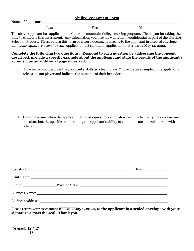#### **Ability Assessment Form**

Name of Applicant:

Last First First Middle

The above applicant has applied to the Colorado mountain College nursing program. Thank you for taking the time to complete this assessment. Any information you provide will remain confidential as part of the Nursing Selection Process. Please return this form or a word document directly to the applicant in a sealed envelope *with your signature over the seal.* Applicant must submit all application materials by May 14, 2022.

#### **Complete the following two questions. Respond to each question by addressing the concept described, provide a specific example about the applicant and state the results of the applicant's actions. Use an additional page if desired.**

1. How would you describe the applicant's skills as a team player? Provide an example of the applicant's role as a team player and indicate the outcome of their behavior.

2. Describe a time when the applicant had to ask questions and listen carefully to clarify the exact nature of a situation. Be specific in addressing the applicant's ability to communicate and collaborate with others.

| Phone: Position/Title: Position.                                                                                                                                                                                               |  |
|--------------------------------------------------------------------------------------------------------------------------------------------------------------------------------------------------------------------------------|--|
| Business Name: Name: Name: Name: Name: Name: Name: Name: Name: Name: Name: Name: Name: Name: Name: Name: Name: Name: Name: Name: Name: Name: Name: Name: Name: Name: Name: Name: Name: Name: Name: Name: Name: Name: Name: Nam |  |
|                                                                                                                                                                                                                                |  |

Please return your assessment BEFORE **May 1, 2022, to the applicant in a sealed envelope with your signature across the seal. Thank you.**

| Revised: 12.1.21 |    |
|------------------|----|
|                  | 18 |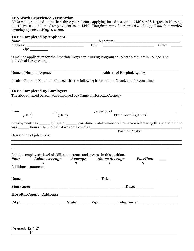### **LPN Work Experience Verification**

LPNs who graduated more than three years before applying for admission to CMC's AAS Degree in Nursing, must have 1000 hours of employment as an LPN. *This form must be returned to the applicant in a sealed envelope prior to May 1, 2022.*

| To Be Completed by Applicant:                                                                       |   |                |                            |                                                                                                                 |
|-----------------------------------------------------------------------------------------------------|---|----------------|----------------------------|-----------------------------------------------------------------------------------------------------------------|
| Name:                                                                                               |   |                |                            |                                                                                                                 |
|                                                                                                     |   |                |                            | State:                                                                                                          |
| $\overline{\mathrm{Zip:}}$                                                                          |   |                |                            |                                                                                                                 |
| is making application for the Associate Degree in Nursing Program at Colorado Mountain College. The |   |                |                            |                                                                                                                 |
| individual is requesting:                                                                           |   |                |                            |                                                                                                                 |
|                                                                                                     |   |                |                            |                                                                                                                 |
| Name of Hospital/Agency                                                                             |   |                | Address of Hospital/Agency |                                                                                                                 |
| furnish Colorado Mountain College with the following information. Thank you for your time.          |   |                |                            |                                                                                                                 |
| To Be Completed By Employer:                                                                        |   |                |                            |                                                                                                                 |
| The above-named person was employed by (Name of Hospital/Agency)                                    |   |                |                            |                                                                                                                 |
|                                                                                                     |   |                |                            |                                                                                                                 |
|                                                                                                     |   |                |                            |                                                                                                                 |
|                                                                                                     |   |                |                            | $from \frac{}{\text{(Date)}}$ to $\frac{}{\text{(Date)}}$ , a period of $\frac{}{\text{(Total Monthly/years)}}$ |
|                                                                                                     |   |                |                            | Employment was _______ full time; _______ part-time. Total number of hours worked during this period of time    |
| was _______ hours. The individual was employed as ______________________________                    |   |                |                            |                                                                                                                 |
|                                                                                                     |   |                | Position / Title           |                                                                                                                 |
| Description of job duties:                                                                          |   |                |                            |                                                                                                                 |
|                                                                                                     |   |                |                            |                                                                                                                 |
|                                                                                                     |   |                |                            |                                                                                                                 |
| Rate the employee's level of skill, competence and success in this position.                        |   |                |                            |                                                                                                                 |
| <b>Poor</b> Below Average Average Above Average                                                     |   |                |                            | Excellent                                                                                                       |
| $\overline{2}$<br>$\mathbf{1}$<br><b>Additional comments:</b>                                       | 3 | $\overline{4}$ |                            | 5                                                                                                               |
|                                                                                                     |   |                |                            |                                                                                                                 |
|                                                                                                     |   |                |                            |                                                                                                                 |
|                                                                                                     |   |                |                            |                                                                                                                 |
| Signature: Date:                                                                                    |   |                |                            |                                                                                                                 |
|                                                                                                     |   |                |                            |                                                                                                                 |
|                                                                                                     |   |                |                            |                                                                                                                 |
|                                                                                                     |   |                |                            |                                                                                                                 |
|                                                                                                     |   |                |                            |                                                                                                                 |
|                                                                                                     |   |                |                            |                                                                                                                 |
|                                                                                                     |   |                |                            |                                                                                                                 |
| Revised: 12.1.21                                                                                    |   |                |                            |                                                                                                                 |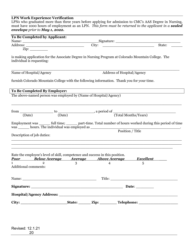### **LPN Work Experience Verification**

20

LPNs who graduated more than three years before applying for admission to CMC's AAS Degree in Nursing, must have 1000 hours of employment as an LPN. *This form must be returned to the applicant in a sealed envelope prior to May 1, 2022.*

| Name:<br>$\overline{\mathrm{Zip:}}$<br>is making application for the Associate Degree in Nursing Program at Colorado Mountain College. The<br>individual is requesting:<br>Address of Hospital/Agency<br>Name of Hospital/Agency<br>furnish Colorado Mountain College with the following information. Thank you for your time.<br>To Be Completed By Employer:<br>The above-named person was employed by (Name of Hospital/Agency)<br>from $\frac{1}{(Date)}$ to $\frac{1}{(Date)}$ , a period of $\frac{1}{(Total\,Monthly\,Years)}$<br>Employment was _______ full time; _______ part-time. Total number of hours worked during this period of time<br>was _______ hours. The individual was employed as<br>Position / Title<br>Description of job duties: | State: |
|--------------------------------------------------------------------------------------------------------------------------------------------------------------------------------------------------------------------------------------------------------------------------------------------------------------------------------------------------------------------------------------------------------------------------------------------------------------------------------------------------------------------------------------------------------------------------------------------------------------------------------------------------------------------------------------------------------------------------------------------------------------|--------|
|                                                                                                                                                                                                                                                                                                                                                                                                                                                                                                                                                                                                                                                                                                                                                              |        |
|                                                                                                                                                                                                                                                                                                                                                                                                                                                                                                                                                                                                                                                                                                                                                              |        |
|                                                                                                                                                                                                                                                                                                                                                                                                                                                                                                                                                                                                                                                                                                                                                              |        |
|                                                                                                                                                                                                                                                                                                                                                                                                                                                                                                                                                                                                                                                                                                                                                              |        |
|                                                                                                                                                                                                                                                                                                                                                                                                                                                                                                                                                                                                                                                                                                                                                              |        |
|                                                                                                                                                                                                                                                                                                                                                                                                                                                                                                                                                                                                                                                                                                                                                              |        |
|                                                                                                                                                                                                                                                                                                                                                                                                                                                                                                                                                                                                                                                                                                                                                              |        |
|                                                                                                                                                                                                                                                                                                                                                                                                                                                                                                                                                                                                                                                                                                                                                              |        |
|                                                                                                                                                                                                                                                                                                                                                                                                                                                                                                                                                                                                                                                                                                                                                              |        |
|                                                                                                                                                                                                                                                                                                                                                                                                                                                                                                                                                                                                                                                                                                                                                              |        |
|                                                                                                                                                                                                                                                                                                                                                                                                                                                                                                                                                                                                                                                                                                                                                              |        |
|                                                                                                                                                                                                                                                                                                                                                                                                                                                                                                                                                                                                                                                                                                                                                              |        |
|                                                                                                                                                                                                                                                                                                                                                                                                                                                                                                                                                                                                                                                                                                                                                              |        |
|                                                                                                                                                                                                                                                                                                                                                                                                                                                                                                                                                                                                                                                                                                                                                              |        |
|                                                                                                                                                                                                                                                                                                                                                                                                                                                                                                                                                                                                                                                                                                                                                              |        |
| Rate the employee's level of skill, competence and success in this position.                                                                                                                                                                                                                                                                                                                                                                                                                                                                                                                                                                                                                                                                                 |        |
| <b>Poor</b> Below Average Average Above Average<br><u>Excellent</u>                                                                                                                                                                                                                                                                                                                                                                                                                                                                                                                                                                                                                                                                                          |        |
| $\overline{2}$<br>5<br>$\mathbf{1}$<br>3<br>$\overline{4}$                                                                                                                                                                                                                                                                                                                                                                                                                                                                                                                                                                                                                                                                                                   |        |
| <b>Additional comments:</b>                                                                                                                                                                                                                                                                                                                                                                                                                                                                                                                                                                                                                                                                                                                                  |        |
|                                                                                                                                                                                                                                                                                                                                                                                                                                                                                                                                                                                                                                                                                                                                                              |        |
| Signature: Date:                                                                                                                                                                                                                                                                                                                                                                                                                                                                                                                                                                                                                                                                                                                                             |        |
|                                                                                                                                                                                                                                                                                                                                                                                                                                                                                                                                                                                                                                                                                                                                                              |        |
|                                                                                                                                                                                                                                                                                                                                                                                                                                                                                                                                                                                                                                                                                                                                                              |        |
|                                                                                                                                                                                                                                                                                                                                                                                                                                                                                                                                                                                                                                                                                                                                                              |        |